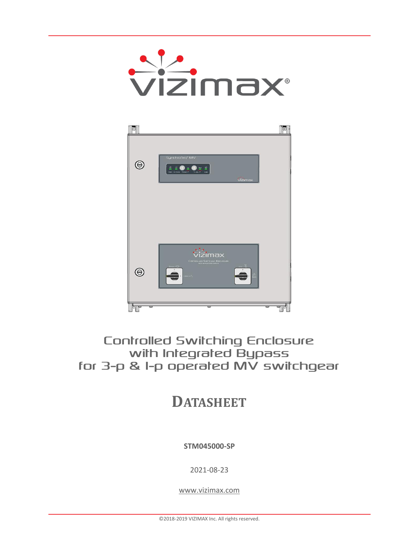



# **Controlled Switching Enclosure** with Integrated Bypass for 3-p & I-p operated MV switchgear

**DATASHEET**

**STM045000-SP**

2021-08-23

[www.vizimax.com](file://///Longueuil/Files/Dept.Marketing/Sources%20-%20manuels%20produits/Template/www.vizimax.com)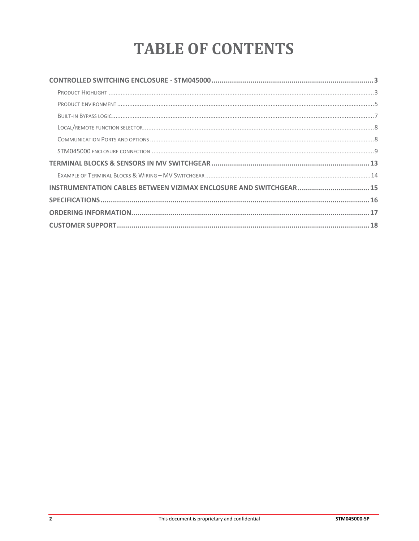# **TABLE OF CONTENTS**

| INSTRUMENTATION CABLES BETWEEN VIZIMAX ENCLOSURE AND SWITCHGEAR 15 |  |
|--------------------------------------------------------------------|--|
|                                                                    |  |
|                                                                    |  |
|                                                                    |  |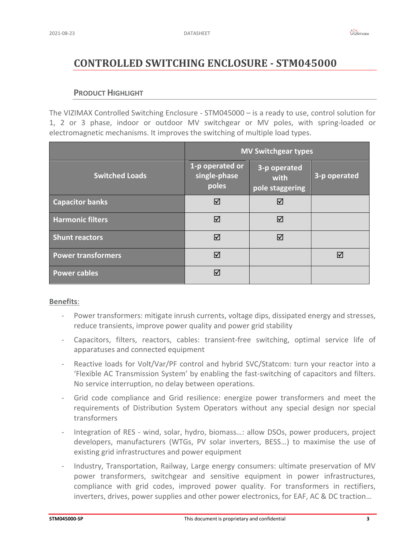# <span id="page-2-0"></span>**CONTROLLED SWITCHING ENCLOSURE - STM045000**

# **PRODUCT HIGHLIGHT**

<span id="page-2-1"></span>The VIZIMAX Controlled Switching Enclosure - STM045000 – is a ready to use, control solution for 1, 2 or 3 phase, indoor or outdoor MV switchgear or MV poles, with spring-loaded or electromagnetic mechanisms. It improves the switching of multiple load types.

|                           | <b>MV Switchgear types</b>               |                                         |              |
|---------------------------|------------------------------------------|-----------------------------------------|--------------|
| <b>Switched Loads</b>     | 1-p operated or<br>single-phase<br>poles | 3-p operated<br>with<br>pole staggering | 3-p operated |
| <b>Capacitor banks</b>    | ⊠                                        | ⊠                                       |              |
| <b>Harmonic filters</b>   | ☑                                        | ☑                                       |              |
| <b>Shunt reactors</b>     | ⊠                                        | ☑                                       |              |
| <b>Power transformers</b> | ☑                                        |                                         | ⊠            |
| <b>Power cables</b>       | ☑                                        |                                         |              |

# **Benefits**:

- Power transformers: mitigate inrush currents, voltage dips, dissipated energy and stresses, reduce transients, improve power quality and power grid stability
- Capacitors, filters, reactors, cables: transient-free switching, optimal service life of apparatuses and connected equipment
- Reactive loads for Volt/Var/PF control and hybrid SVC/Statcom: turn your reactor into a 'Flexible AC Transmission System' by enabling the fast-switching of capacitors and filters. No service interruption, no delay between operations.
- Grid code compliance and Grid resilience: energize power transformers and meet the requirements of Distribution System Operators without any special design nor special transformers
- Integration of RES wind, solar, hydro, biomass…: allow DSOs, power producers, project developers, manufacturers (WTGs, PV solar inverters, BESS…) to maximise the use of existing grid infrastructures and power equipment
- Industry, Transportation, Railway, Large energy consumers: ultimate preservation of MV power transformers, switchgear and sensitive equipment in power infrastructures, compliance with grid codes, improved power quality. For transformers in rectifiers, inverters, drives, power supplies and other power electronics, for EAF, AC & DC traction…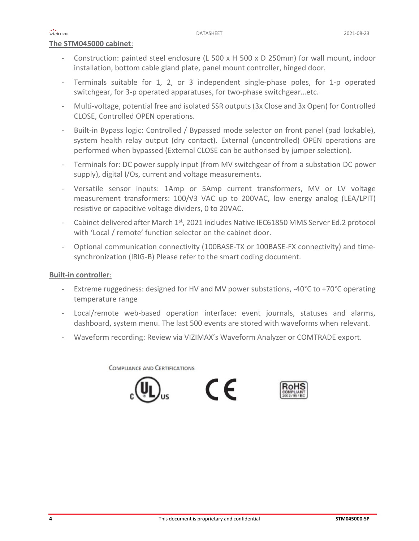# **The STM045000 cabinet**:

- Construction: painted steel enclosure (L 500 x H 500 x D 250mm) for wall mount, indoor installation, bottom cable gland plate, panel mount controller, hinged door.
- Terminals suitable for 1, 2, or 3 independent single-phase poles, for 1-p operated switchgear, for 3-p operated apparatuses, for two-phase switchgear…etc.
- Multi-voltage, potential free and isolated SSR outputs (3x Close and 3x Open) for Controlled CLOSE, Controlled OPEN operations.
- Built-in Bypass logic: Controlled / Bypassed mode selector on front panel (pad lockable), system health relay output (dry contact). External (uncontrolled) OPEN operations are performed when bypassed (External CLOSE can be authorised by jumper selection).
- Terminals for: DC power supply input (from MV switchgear of from a substation DC power supply), digital I/Os, current and voltage measurements.
- Versatile sensor inputs: 1Amp or 5Amp current transformers, MV or LV voltage measurement transformers: 100/√3 VAC up to 200VAC, low energy analog (LEA/LPIT) resistive or capacitive voltage dividers, 0 to 20VAC.
- Cabinet delivered after March  $1^{st}$ , 2021 includes Native IEC61850 MMS Server Ed.2 protocol with 'Local / remote' function selector on the cabinet door.
- Optional communication connectivity (100BASE-TX or 100BASE-FX connectivity) and timesynchronization (IRIG-B) Please refer to the smart coding document.

# **Built-in controller**:

- Extreme ruggedness: designed for HV and MV power substations, -40°C to +70°C operating temperature range
- Local/remote web-based operation interface: event journals, statuses and alarms, dashboard, system menu. The last 500 events are stored with waveforms when relevant.
- Waveform recording: Review via VIZIMAX's Waveform Analyzer or COMTRADE export.

**COMPLIANCE AND CERTIFICATIONS** 





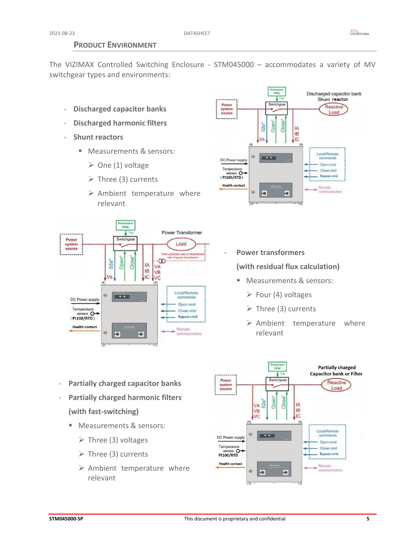# **PRODUCT ENVIRONMENT**

<span id="page-4-0"></span>The VIZIMAX Controlled Switching Enclosure - STM045000 – accommodates a variety of MV switchgear types and environments:

- **Discharged capacitor banks**
- **Discharged harmonic filters**
- **Shunt reactors**
	- Measurements & sensors:
		- $\triangleright$  One (1) voltage
		- $\triangleright$  Three (3) currents
		- ➢ Ambient temperature where relevant



### Discharged capacitor bank Shunt reactor Power Switchger Reactive system Load source  $52a$ IA **IB IC** Local/Remote  $\odot$ 833333 commands DC Power supply Open cmd Temperature Close cmd sensor O **Bypass cmd Health contact** Remote  $\odot$ ∍  $\bullet$

- **Power transformers**

**(with residual flux calculation)**

- Measurements & sensors:
	- $\triangleright$  Four (4) voltages
	- ➢ Three (3) currents
	- ➢ Ambient temperature where relevant



- **Partially charged capacitor banks**
- **Partially charged harmonic filters (with fast-switching)**
	- Measurements & sensors:
		- $\triangleright$  Three (3) voltages
		- $\triangleright$  Three (3) currents
		- ➢ Ambient temperature where relevant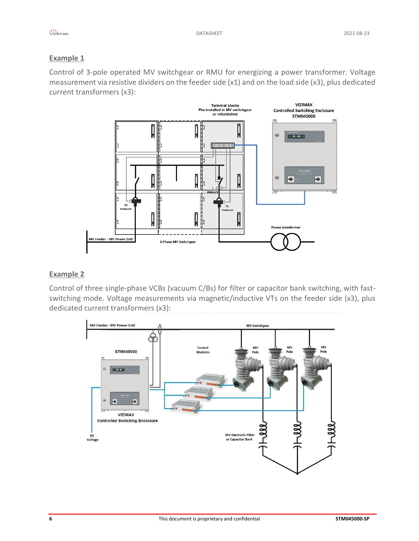# **Example 1**

Control of 3-pole operated MV switchgear or RMU for energizing a power transformer. Voltage measurement via resistive dividers on the feeder side (x1) and on the load side (x3), plus dedicated current transformers (x3):



# **Example 2**

Control of three single-phase VCBs (vacuum C/Bs) for filter or capacitor bank switching, with fastswitching mode. Voltage measurements via magnetic/inductive VTs on the feeder side (x3), plus dedicated current transformers (x3):

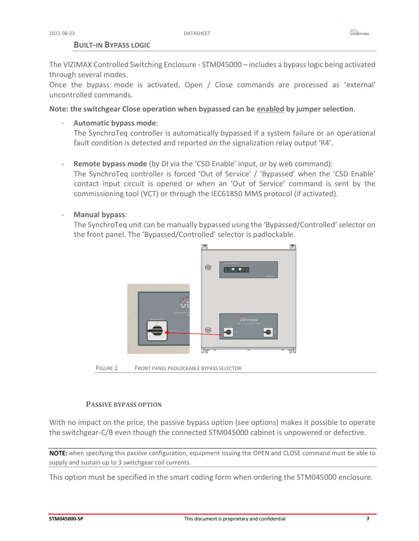# **BUILT-IN BYPASS LOGIC**

<span id="page-6-0"></span>The VIZIMAX Controlled Switching Enclosure - STM045000 – includes a bypass logic being activated through several modes.

Once the bypass mode is activated, Open / Close commands are processed as 'external' uncontrolled commands.

**Note: the switchgear Close operation when bypassed can be enabled by jumper selection**.

- **Automatic bypass mode**:

The SynchroTeq controller is automatically bypassed if a system failure or an operational fault condition is detected and reported on the signalization relay output 'R4'.

- **Remote bypass mode** (by DI via the 'CSD Enable' input, or by web command): The SynchroTeq controller is forced 'Out of Service' / 'Bypassed' when the 'CSD Enable' contact input circuit is opened or when an 'Out of Service' command is sent by the commissioning tool (VCT) or through the IEC61850 MMS protocol (if activated).
- **Manual bypass**:

The SynchroTeq unit can be manually bypassed using the 'Bypassed/Controlled' selector on the front panel. The 'Bypassed/Controlled' selector is padlockable.



FIGURE 1 FRONT PANEL PADLOCKABLE BYPASS SELECTOR

# **PASSIVE BYPASS OPTION**

With no impact on the price, the passive bypass option (see options) makes it possible to operate the switchgear-C/B even though the connected STM045000 cabinet is unpowered or defective.

NOTE: when specifying this passive configuration, equipment issuing the OPEN and CLOSE command must be able to supply and sustain up to 3 switchgear coil currents.

This option must be specified in the smart coding form when ordering the STM045000 enclosure.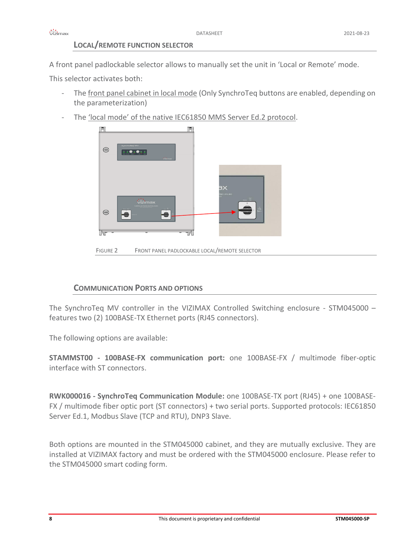# **LOCAL/REMOTE FUNCTION SELECTOR**

<span id="page-7-0"></span>A front panel padlockable selector allows to manually set the unit in 'Local or Remote' mode.

This selector activates both:

- The front panel cabinet in local mode (Only SynchroTeq buttons are enabled, depending on the parameterization)
- The 'local mode' of the native IEC61850 MMS Server Ed.2 protocol.



# <span id="page-7-1"></span>**COMMUNICATION PORTS AND OPTIONS**

The SynchroTeq MV controller in the VIZIMAX Controlled Switching enclosure - STM045000 – features two (2) 100BASE-TX Ethernet ports (RJ45 connectors).

The following options are available:

**STAMMST00 - 100BASE-FX communication port:** one 100BASE-FX / multimode fiber-optic interface with ST connectors.

**RWK000016 - SynchroTeq Communication Module:** one 100BASE-TX port (RJ45) + one 100BASE-FX / multimode fiber optic port (ST connectors) + two serial ports. Supported protocols: IEC61850 Server Ed.1, Modbus Slave (TCP and RTU), DNP3 Slave.

Both options are mounted in the STM045000 cabinet, and they are mutually exclusive. They are installed at VIZIMAX factory and must be ordered with the STM045000 enclosure. Please refer to the STM045000 smart coding form.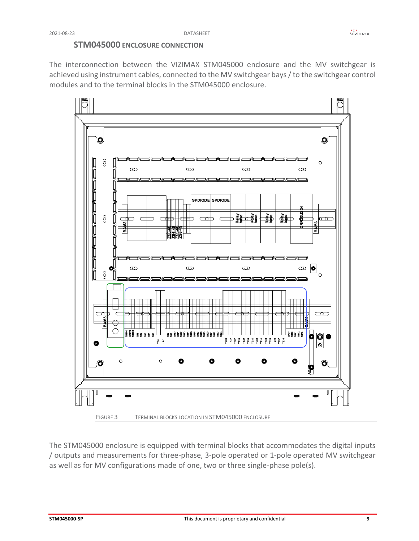# **STM045000 ENCLOSURE CONNECTION**

<span id="page-8-0"></span>The interconnection between the VIZIMAX STM045000 enclosure and the MV switchgear is achieved using instrument cables, connected to the MV switchgear bays / to the switchgear control modules and to the terminal blocks in the STM045000 enclosure.



The STM045000 enclosure is equipped with terminal blocks that accommodates the digital inputs / outputs and measurements for three-phase, 3-pole operated or 1-pole operated MV switchgear as well as for MV configurations made of one, two or three single-phase pole(s).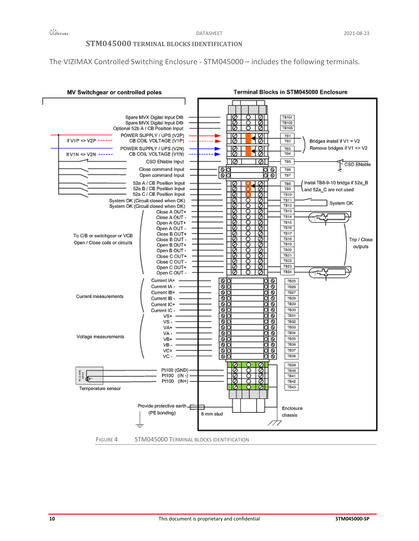# **STM045000 TERMINAL BLOCKS IDENTIFICATION**

The VIZIMAX Controlled Switching Enclosure - STM045000 – includes the following terminals.

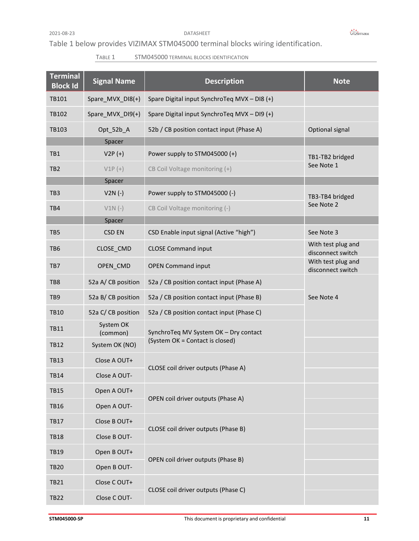### 2021-08-23 DATASHEET

# Table 1 below provides VIZIMAX STM045000 terminal blocks wiring identification.

# TABLE 1 STM045000 TERMINAL BLOCKS IDENTIFICATION

| <b>Terminal</b><br><b>Block Id</b> | <b>Signal Name</b>    | <b>Description</b>                           | <b>Note</b>                             |
|------------------------------------|-----------------------|----------------------------------------------|-----------------------------------------|
| TB101                              | Spare_MVX_DI8(+)      | Spare Digital input SynchroTeq MVX - DI8 (+) |                                         |
| TB102                              | Spare_MVX_DI9(+)      | Spare Digital input SynchroTeq MVX - DI9 (+) |                                         |
| TB103                              | Opt_52b_A             | 52b / CB position contact input (Phase A)    | Optional signal                         |
|                                    | Spacer                |                                              |                                         |
| TB1                                | $V2P (+)$             | Power supply to STM045000 (+)                | TB1-TB2 bridged                         |
| TB <sub>2</sub>                    | $V1P (+)$             | CB Coil Voltage monitoring (+)               | See Note 1                              |
|                                    | Spacer                |                                              |                                         |
| TB <sub>3</sub>                    | $V2N(-)$              | Power supply to STM045000 (-)                | TB3-TB4 bridged                         |
| TB4                                | $V1N(-)$              | CB Coil Voltage monitoring (-)               | See Note 2                              |
|                                    | Spacer                |                                              |                                         |
| TB <sub>5</sub>                    | <b>CSD EN</b>         | CSD Enable input signal (Active "high")      | See Note 3                              |
| TB <sub>6</sub>                    | CLOSE_CMD             | <b>CLOSE Command input</b>                   | With test plug and<br>disconnect switch |
| TB7                                | OPEN_CMD              | <b>OPEN Command input</b>                    | With test plug and<br>disconnect switch |
| TB8                                | 52a A/CB position     | 52a / CB position contact input (Phase A)    |                                         |
| TB <sub>9</sub>                    | 52a B/CB position     | 52a / CB position contact input (Phase B)    | See Note 4                              |
| <b>TB10</b>                        | 52a C/ CB position    | 52a / CB position contact input (Phase C)    |                                         |
| <b>TB11</b>                        | System OK<br>(common) | SynchroTeq MV System OK - Dry contact        |                                         |
| <b>TB12</b>                        | System OK (NO)        | (System OK = Contact is closed)              |                                         |
| <b>TB13</b>                        | Close A OUT+          | CLOSE coil driver outputs (Phase A)          |                                         |
| TB14                               | Close A OUT-          |                                              |                                         |
| <b>TB15</b>                        | Open A OUT+           | OPEN coil driver outputs (Phase A)           |                                         |
| <b>TB16</b>                        | Open A OUT-           |                                              |                                         |
| <b>TB17</b>                        | Close B OUT+          |                                              |                                         |
| <b>TB18</b>                        | Close B OUT-          | CLOSE coil driver outputs (Phase B)          |                                         |
| <b>TB19</b>                        | Open B OUT+           |                                              |                                         |
| <b>TB20</b>                        | Open B OUT-           | OPEN coil driver outputs (Phase B)           |                                         |
| <b>TB21</b>                        | Close C OUT+          |                                              |                                         |
| <b>TB22</b>                        | Close C OUT-          | CLOSE coil driver outputs (Phase C)          |                                         |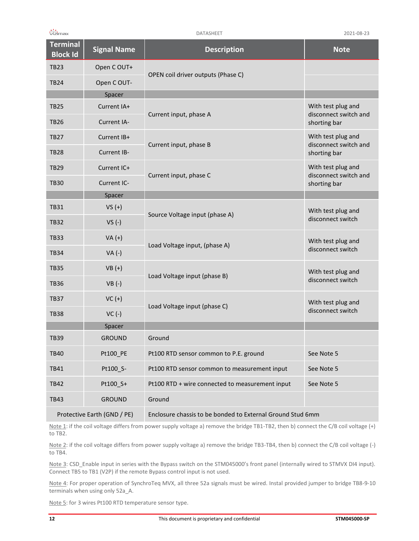| <b>Terminal</b><br><b>Block Id</b> | <b>Signal Name</b> | <b>Description</b>                                         | <b>Note</b>                                 |
|------------------------------------|--------------------|------------------------------------------------------------|---------------------------------------------|
| <b>TB23</b>                        | Open COUT+         |                                                            |                                             |
| <b>TB24</b>                        | Open COUT-         | OPEN coil driver outputs (Phase C)                         |                                             |
|                                    | Spacer             |                                                            |                                             |
| <b>TB25</b>                        | Current IA+        | Current input, phase A                                     | With test plug and<br>disconnect switch and |
| <b>TB26</b>                        | <b>Current IA-</b> |                                                            | shorting bar                                |
| <b>TB27</b>                        | Current IB+        | Current input, phase B                                     | With test plug and<br>disconnect switch and |
| <b>TB28</b>                        | Current IB-        |                                                            | shorting bar                                |
| <b>TB29</b>                        | Current IC+        | Current input, phase C                                     | With test plug and<br>disconnect switch and |
| <b>TB30</b>                        | Current IC-        |                                                            | shorting bar                                |
|                                    | Spacer             |                                                            |                                             |
| <b>TB31</b>                        | $VS (+)$           | Source Voltage input (phase A)                             | With test plug and<br>disconnect switch     |
| <b>TB32</b>                        | $VS(-)$            |                                                            |                                             |
| <b>TB33</b>                        | $VA (+)$           | Load Voltage input, (phase A)                              | With test plug and                          |
| <b>TB34</b>                        | $VA (-)$           |                                                            | disconnect switch                           |
| <b>TB35</b>                        | $VB (+)$           | Load Voltage input (phase B)                               | With test plug and<br>disconnect switch     |
| <b>TB36</b>                        | $VB(-)$            |                                                            |                                             |
| <b>TB37</b>                        | $VC(+)$            | Load Voltage input (phase C)                               | With test plug and<br>disconnect switch     |
| <b>TB38</b>                        | $VC(-)$            |                                                            |                                             |
|                                    | Spacer             |                                                            |                                             |
| <b>TB39</b>                        | <b>GROUND</b>      | Ground                                                     |                                             |
| <b>TB40</b>                        | Pt100 PE           | Pt100 RTD sensor common to P.E. ground                     | See Note 5                                  |
| TB41                               | Pt100 S-           | Pt100 RTD sensor common to measurement input               | See Note 5                                  |
| <b>TB42</b>                        | Pt100 S+           | Pt100 RTD + wire connected to measurement input            | See Note 5                                  |
| <b>TB43</b>                        | <b>GROUND</b>      | Ground                                                     |                                             |
| Protective Earth (GND / PE)        |                    | Enclosure chassis to be bonded to External Ground Stud 6mm |                                             |

Note 1: if the coil voltage differs from power supply voltage a) remove the bridge TB1-TB2, then b) connect the C/B coil voltage (+) to TB2.

Note 2: if the coil voltage differs from power supply voltage a) remove the bridge TB3-TB4, then b) connect the C/B coil voltage (-) to TB4.

Note 3: CSD\_Enable input in series with the Bypass switch on the STM045000's front panel (internally wired to STMVX DI4 input). Connect TB5 to TB1 (V2P) if the remote Bypass control input is not used.

Note 4: For proper operation of SynchroTeq MVX, all three 52a signals must be wired. Instal provided jumper to bridge TB8-9-10 terminals when using only 52a\_A.

Note 5: for 3 wires Pt100 RTD temperature sensor type.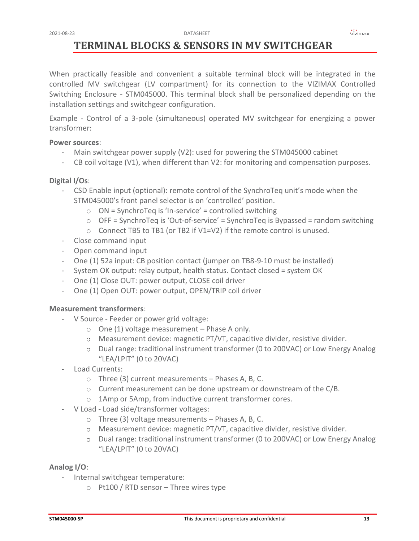# <span id="page-12-0"></span>**TERMINAL BLOCKS & SENSORS IN MV SWITCHGEAR**

When practically feasible and convenient a suitable terminal block will be integrated in the controlled MV switchgear (LV compartment) for its connection to the VIZIMAX Controlled Switching Enclosure - STM045000. This terminal block shall be personalized depending on the installation settings and switchgear configuration.

Example - Control of a 3-pole (simultaneous) operated MV switchgear for energizing a power transformer:

# **Power sources**:

- Main switchgear power supply (V2): used for powering the STM045000 cabinet
- CB coil voltage (V1), when different than V2: for monitoring and compensation purposes.

# **Digital I/Os**:

- CSD Enable input (optional): remote control of the SynchroTeq unit's mode when the STM045000's front panel selector is on 'controlled' position.
	- $\circ$  ON = SynchroTeq is 'In-service' = controlled switching
	- $\circ$  OFF = SynchroTeq is 'Out-of-service' = SynchroTeq is Bypassed = random switching
	- o Connect TB5 to TB1 (or TB2 if V1=V2) if the remote control is unused.
- Close command input
- Open command input
- One (1) 52a input: CB position contact (jumper on TB8-9-10 must be installed)
- System OK output: relay output, health status. Contact closed = system OK
- One (1) Close OUT: power output, CLOSE coil driver
- One (1) Open OUT: power output, OPEN/TRIP coil driver

# **Measurement transformers**:

- V Source Feeder or power grid voltage:
	- $\circ$  One (1) voltage measurement Phase A only.
	- o Measurement device: magnetic PT/VT, capacitive divider, resistive divider.
	- o Dual range: traditional instrument transformer (0 to 200VAC) or Low Energy Analog "LEA/LPIT" (0 to 20VAC)
- Load Currents:
	- o Three (3) current measurements Phases A, B, C.
	- $\circ$  Current measurement can be done upstream or downstream of the C/B.
	- o 1Amp or 5Amp, from inductive current transformer cores.
- V Load Load side/transformer voltages:
	- o Three (3) voltage measurements Phases A, B, C.
	- o Measurement device: magnetic PT/VT, capacitive divider, resistive divider.
	- o Dual range: traditional instrument transformer (0 to 200VAC) or Low Energy Analog "LEA/LPIT" (0 to 20VAC)

# **Analog I/O**:

- Internal switchgear temperature:
	- $\circ$  Pt100 / RTD sensor Three wires type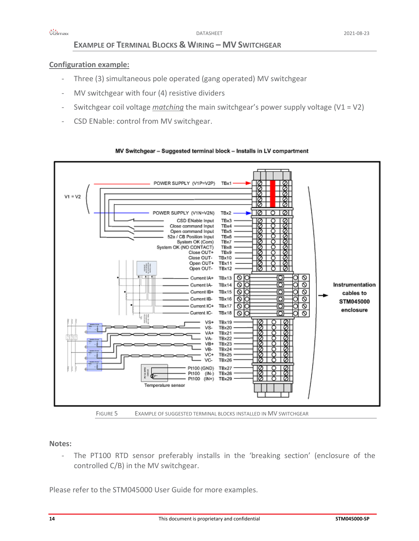# **EXAMPLE OF TERMINAL BLOCKS & WIRING – MV SWITCHGEAR**

# <span id="page-13-0"></span>**Configuration example:**

- Three (3) simultaneous pole operated (gang operated) MV switchgear
- MV switchgear with four (4) resistive dividers
- Switchgear coil voltage *matching* the main switchgear's power supply voltage (V1 = V2)
- CSD ENable: control from MV switchgear.



### MV Switchgear - Suggested terminal block - Installs in LV compartment

# **Notes:**

- The PT100 RTD sensor preferably installs in the 'breaking section' (enclosure of the controlled C/B) in the MV switchgear.

Please refer to the STM045000 User Guide for more examples.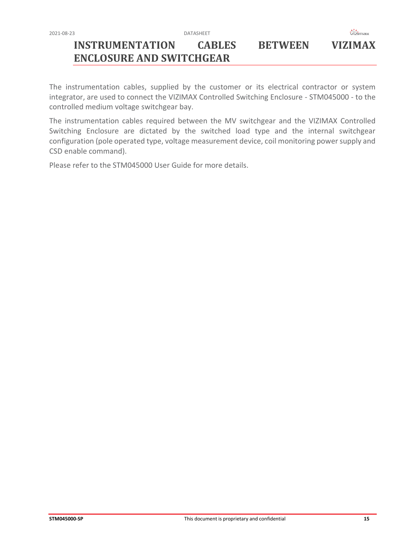

# <span id="page-14-0"></span>**INSTRUMENTATION CABLES BETWEEN VIZIMAX ENCLOSURE AND SWITCHGEAR**

The instrumentation cables, supplied by the customer or its electrical contractor or system integrator, are used to connect the VIZIMAX Controlled Switching Enclosure - STM045000 - to the controlled medium voltage switchgear bay.

The instrumentation cables required between the MV switchgear and the VIZIMAX Controlled Switching Enclosure are dictated by the switched load type and the internal switchgear configuration (pole operated type, voltage measurement device, coil monitoring power supply and CSD enable command).

Please refer to the STM045000 User Guide for more details.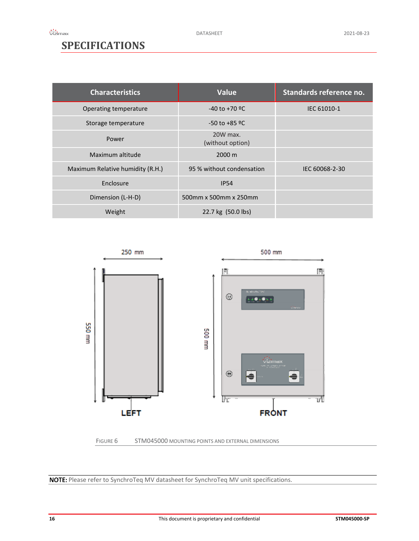# <span id="page-15-0"></span>**SPECIFICATIONS**

| <b>Characteristics</b>           | <b>Value</b>                  | Standards reference no. |
|----------------------------------|-------------------------------|-------------------------|
| Operating temperature            | $-40$ to $+70$ <sup>o</sup> C | IEC 61010-1             |
| Storage temperature              | $-50$ to $+85$ <sup>o</sup> C |                         |
| Power                            | 20W max.<br>(without option)  |                         |
| Maximum altitude                 | 2000 m                        |                         |
| Maximum Relative humidity (R.H.) | 95 % without condensation     | IEC 60068-2-30          |
| Enclosure                        | <b>IP54</b>                   |                         |
| Dimension (L-H-D)                | 500mm x 500mm x 250mm         |                         |
| Weight                           | 22.7 kg (50.0 lbs)            |                         |





NOTE: Please refer to SynchroTeq MV datasheet for SynchroTeq MV unit specifications.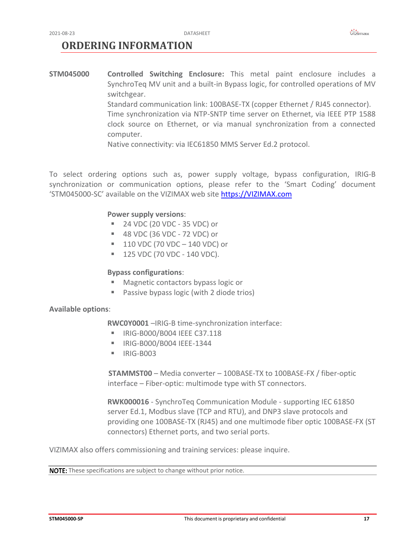# <span id="page-16-0"></span>**ORDERING INFORMATION**

**STM045000 Controlled Switching Enclosure:** This metal paint enclosure includes a SynchroTeq MV unit and a built-in Bypass logic, for controlled operations of MV switchgear.

Standard communication link: 100BASE-TX (copper Ethernet / RJ45 connector). Time synchronization via NTP-SNTP time server on Ethernet, via IEEE PTP 1588 clock source on Ethernet, or via manual synchronization from a connected computer.

Native connectivity: via IEC61850 MMS Server Ed.2 protocol.

To select ordering options such as, power supply voltage, bypass configuration, IRIG-B synchronization or communication options, please refer to the 'Smart Coding' document 'STM045000-SC' available on the VIZIMAX web site [https://VIZIMAX.com](https://vizimax.com/)

# **Power supply versions**:

- 24 VDC (20 VDC 35 VDC) or
- 48 VDC (36 VDC 72 VDC) or
- $\blacksquare$  110 VDC (70 VDC 140 VDC) or
- $\blacksquare$  125 VDC (70 VDC 140 VDC).

### **Bypass configurations**:

- Magnetic contactors bypass logic or
- Passive bypass logic (with 2 diode trios)

### **Available options**:

**RWC0Y0001** –IRIG-B time-synchronization interface:

- **E** IRIG-B000/B004 IEEE C37.118
- IRIG-B000/B004 IEEE-1344
- $\blacksquare$  IRIG-B003

**STAMMST00** – Media converter – 100BASE-TX to 100BASE-FX / fiber-optic interface – Fiber-optic: multimode type with ST connectors.

**RWK000016** - SynchroTeq Communication Module - supporting IEC 61850 server Ed.1, Modbus slave (TCP and RTU), and DNP3 slave protocols and providing one 100BASE-TX (RJ45) and one multimode fiber optic 100BASE-FX (ST connectors) Ethernet ports, and two serial ports.

VIZIMAX also offers commissioning and training services: please inquire.

NOTE: These specifications are subject to change without prior notice.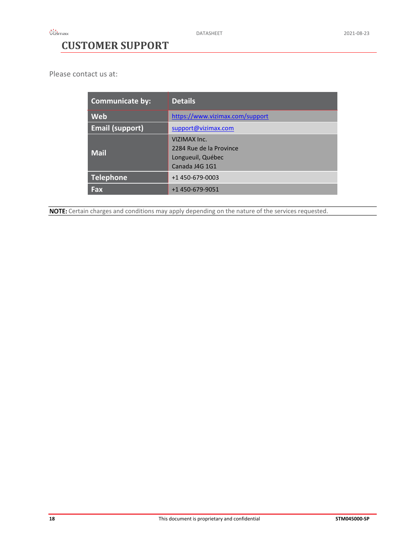# <span id="page-17-0"></span>**CUSTOMER SUPPORT**

Please contact us at:

| <b>Communicate by:</b> | <b>Details</b>                                                                 |
|------------------------|--------------------------------------------------------------------------------|
| Web                    | https://www.vizimax.com/support                                                |
| <b>Email (support)</b> | support@vizimax.com                                                            |
| <b>Mail</b>            | VIZIMAX Inc.<br>2284 Rue de la Province<br>Longueuil, Québec<br>Canada J4G 1G1 |
| <b>Telephone</b>       | +1 450-679-0003                                                                |
| Fax                    | +1 450-679-9051                                                                |

NOTE: Certain charges and conditions may apply depending on the nature of the services requested.